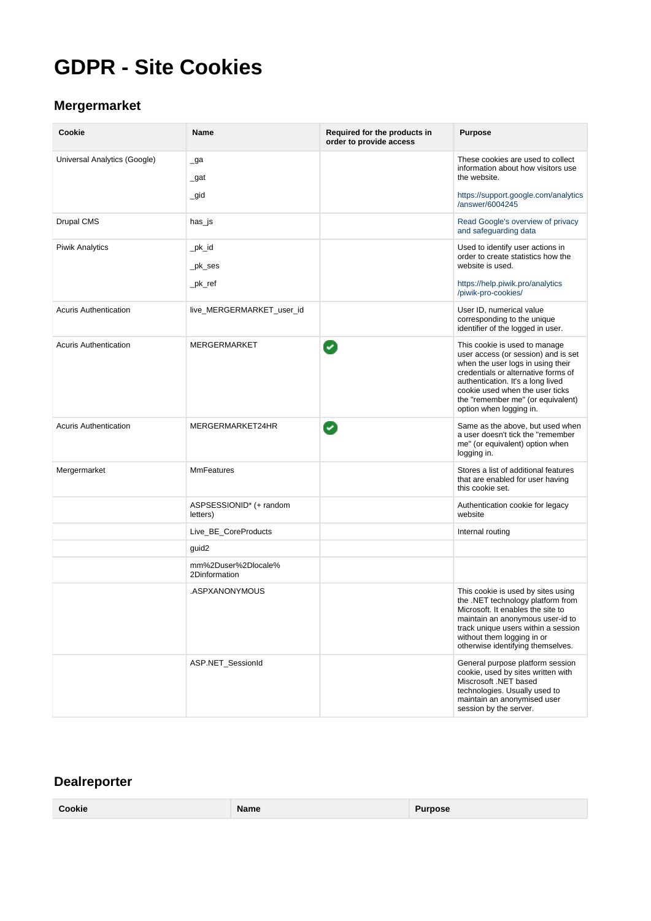# **GDPR - Site Cookies**

## **Mergermarket**

| Cookie                       | <b>Name</b>                          | Required for the products in<br>order to provide access | <b>Purpose</b>                                                                                                                                                                                                                                                                           |
|------------------------------|--------------------------------------|---------------------------------------------------------|------------------------------------------------------------------------------------------------------------------------------------------------------------------------------------------------------------------------------------------------------------------------------------------|
| Universal Analytics (Google) | _ga<br>_gat                          |                                                         | These cookies are used to collect<br>information about how visitors use<br>the website.                                                                                                                                                                                                  |
|                              | $\_gid$                              |                                                         | https://support.google.com/analytics<br>/answer/6004245                                                                                                                                                                                                                                  |
| Drupal CMS                   | has_js                               |                                                         | Read Google's overview of privacy<br>and safeguarding data                                                                                                                                                                                                                               |
| <b>Piwik Analytics</b>       | _pk_id<br>_pk_ses                    |                                                         | Used to identify user actions in<br>order to create statistics how the<br>website is used.                                                                                                                                                                                               |
|                              | _pk_ref                              |                                                         | https://help.piwik.pro/analytics<br>/piwik-pro-cookies/                                                                                                                                                                                                                                  |
| <b>Acuris Authentication</b> | live_MERGERMARKET_user_id            |                                                         | User ID, numerical value<br>corresponding to the unique<br>identifier of the logged in user.                                                                                                                                                                                             |
| <b>Acuris Authentication</b> | <b>MERGERMARKET</b>                  | Ø                                                       | This cookie is used to manage<br>user access (or session) and is set<br>when the user logs in using their<br>credentials or alternative forms of<br>authentication. It's a long lived<br>cookie used when the user ticks<br>the "remember me" (or equivalent)<br>option when logging in. |
| <b>Acuris Authentication</b> | MERGERMARKET24HR                     | Ø                                                       | Same as the above, but used when<br>a user doesn't tick the "remember<br>me" (or equivalent) option when<br>logging in.                                                                                                                                                                  |
| Mergermarket                 | <b>MmFeatures</b>                    |                                                         | Stores a list of additional features<br>that are enabled for user having<br>this cookie set.                                                                                                                                                                                             |
|                              | ASPSESSIONID* (+ random<br>letters)  |                                                         | Authentication cookie for legacy<br>website                                                                                                                                                                                                                                              |
|                              | Live_BE_CoreProducts                 |                                                         | Internal routing                                                                                                                                                                                                                                                                         |
|                              | guid2                                |                                                         |                                                                                                                                                                                                                                                                                          |
|                              | mm%2Duser%2Dlocale%<br>2Dinformation |                                                         |                                                                                                                                                                                                                                                                                          |
|                              | .ASPXANONYMOUS                       |                                                         | This cookie is used by sites using<br>the .NET technology platform from<br>Microsoft. It enables the site to<br>maintain an anonymous user-id to<br>track unique users within a session<br>without them logging in or<br>otherwise identifying themselves.                               |
|                              | ASP.NET_SessionId                    |                                                         | General purpose platform session<br>cookie, used by sites written with<br>Miscrosoft .NET based<br>technologies. Usually used to<br>maintain an anonymised user<br>session by the server.                                                                                                |

#### **Dealreporter**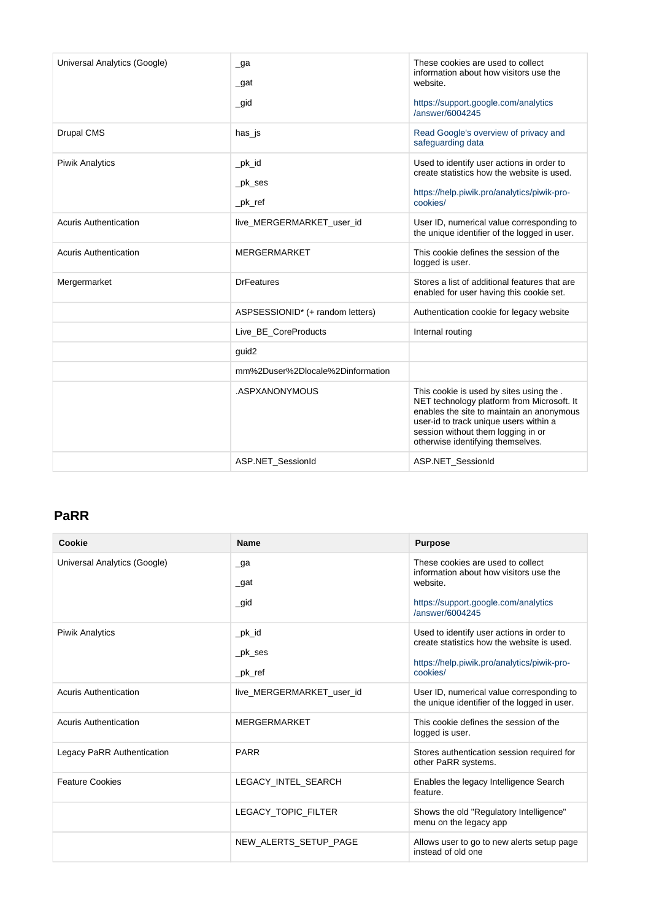| Universal Analytics (Google) | $\Box$ ga<br>$\_$ gat             | These cookies are used to collect<br>information about how visitors use the<br>website.                                                                                                                                                                 |
|------------------------------|-----------------------------------|---------------------------------------------------------------------------------------------------------------------------------------------------------------------------------------------------------------------------------------------------------|
|                              | $\_$ gid                          | https://support.google.com/analytics<br>/answer/6004245                                                                                                                                                                                                 |
| <b>Drupal CMS</b>            | has_js                            | Read Google's overview of privacy and<br>safeguarding data                                                                                                                                                                                              |
| <b>Piwik Analytics</b>       | $pk_id$<br>$pk$ _ses<br>$pk\_ref$ | Used to identify user actions in order to<br>create statistics how the website is used.<br>https://help.piwik.pro/analytics/piwik-pro-<br>cookies/                                                                                                      |
| <b>Acuris Authentication</b> | live_MERGERMARKET_user_id         | User ID, numerical value corresponding to<br>the unique identifier of the logged in user.                                                                                                                                                               |
| <b>Acuris Authentication</b> | <b>MERGERMARKET</b>               | This cookie defines the session of the<br>logged is user.                                                                                                                                                                                               |
| Mergermarket                 | <b>DrFeatures</b>                 | Stores a list of additional features that are<br>enabled for user having this cookie set.                                                                                                                                                               |
|                              | ASPSESSIONID* (+ random letters)  | Authentication cookie for legacy website                                                                                                                                                                                                                |
|                              | Live_BE_CoreProducts              | Internal routing                                                                                                                                                                                                                                        |
|                              | guid2                             |                                                                                                                                                                                                                                                         |
|                              | mm%2Duser%2Dlocale%2Dinformation  |                                                                                                                                                                                                                                                         |
|                              | .ASPXANONYMOUS                    | This cookie is used by sites using the.<br>NET technology platform from Microsoft. It<br>enables the site to maintain an anonymous<br>user-id to track unique users within a<br>session without them logging in or<br>otherwise identifying themselves. |
|                              | ASP.NET_SessionId                 | ASP.NET_SessionId                                                                                                                                                                                                                                       |

#### **PaRR**

| Cookie                       | <b>Name</b>               | <b>Purpose</b>                                                                            |
|------------------------------|---------------------------|-------------------------------------------------------------------------------------------|
| Universal Analytics (Google) | $\Box$ ga                 | These cookies are used to collect<br>information about how visitors use the<br>website.   |
|                              | $\_$ gat                  |                                                                                           |
|                              | $\_gid$                   | https://support.google.com/analytics<br>/answer/6004245                                   |
| <b>Piwik Analytics</b>       | $pk_id$                   | Used to identify user actions in order to<br>create statistics how the website is used.   |
|                              | $pk$ ses                  | https://help.piwik.pro/analytics/piwik-pro-                                               |
|                              | _pk_ref                   | cookies/                                                                                  |
| Acuris Authentication        | live MERGERMARKET user id | User ID, numerical value corresponding to<br>the unique identifier of the logged in user. |
| <b>Acuris Authentication</b> | <b>MERGERMARKET</b>       | This cookie defines the session of the<br>logged is user.                                 |
| Legacy PaRR Authentication   | <b>PARR</b>               | Stores authentication session required for<br>other PaRR systems.                         |
| <b>Feature Cookies</b>       | LEGACY INTEL SEARCH       | Enables the legacy Intelligence Search<br>feature.                                        |
|                              | LEGACY TOPIC FILTER       | Shows the old "Regulatory Intelligence"<br>menu on the legacy app                         |
|                              | NEW ALERTS SETUP PAGE     | Allows user to go to new alerts setup page<br>instead of old one                          |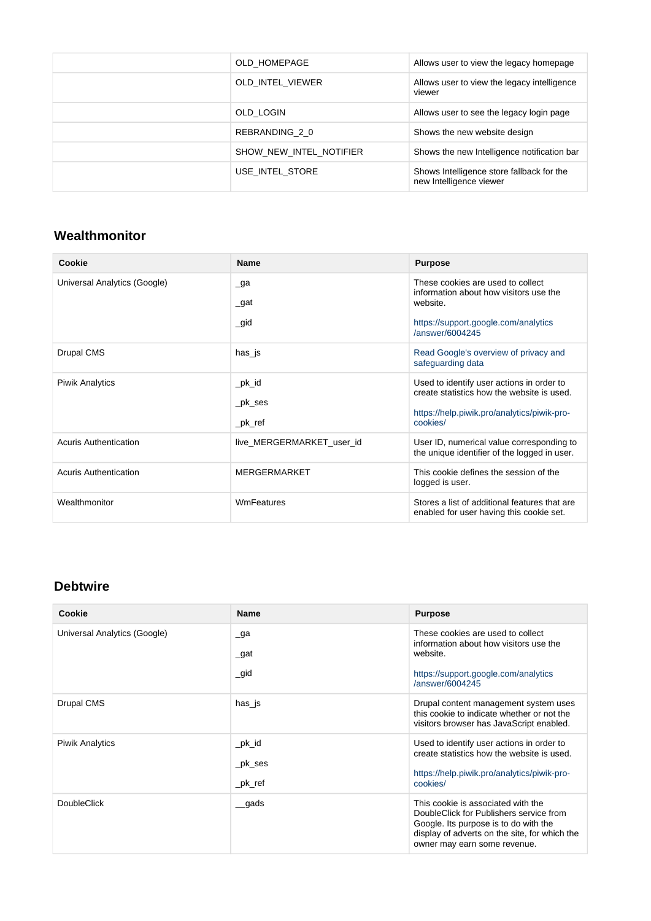| OLD HOMEPAGE            | Allows user to view the legacy homepage                              |
|-------------------------|----------------------------------------------------------------------|
| OLD_INTEL_VIEWER        | Allows user to view the legacy intelligence<br>viewer                |
| OLD LOGIN               | Allows user to see the legacy login page                             |
| REBRANDING 2 0          | Shows the new website design                                         |
| SHOW NEW INTEL NOTIFIER | Shows the new Intelligence notification bar                          |
| USE INTEL STORE         | Shows Intelligence store fallback for the<br>new Intelligence viewer |

#### **Wealthmonitor**

| Cookie                       | <b>Name</b>               | <b>Purpose</b>                                                                            |
|------------------------------|---------------------------|-------------------------------------------------------------------------------------------|
| Universal Analytics (Google) | $\Box$ ga                 | These cookies are used to collect<br>information about how visitors use the               |
|                              | $\_$ gat                  | website.                                                                                  |
|                              | $\_$ gid                  | https://support.google.com/analytics<br>/answer/6004245                                   |
| Drupal CMS                   | has_js                    | Read Google's overview of privacy and<br>safeguarding data                                |
| <b>Piwik Analytics</b>       | $pk_id$                   | Used to identify user actions in order to<br>create statistics how the website is used.   |
|                              | _pk_ses                   | https://help.piwik.pro/analytics/piwik-pro-                                               |
|                              | _pk_ref                   | cookies/                                                                                  |
| Acuris Authentication        | live MERGERMARKET user id | User ID, numerical value corresponding to<br>the unique identifier of the logged in user. |
| <b>Acuris Authentication</b> | <b>MERGERMARKET</b>       | This cookie defines the session of the<br>logged is user.                                 |
| Wealthmonitor                | WmFeatures                | Stores a list of additional features that are<br>enabled for user having this cookie set. |

#### **Debtwire**

| Cookie                       | <b>Name</b>                       | <b>Purpose</b>                                                                                                                                                                                          |
|------------------------------|-----------------------------------|---------------------------------------------------------------------------------------------------------------------------------------------------------------------------------------------------------|
| Universal Analytics (Google) | $\Box$ ga<br>$\_$ gat<br>$\_$ gid | These cookies are used to collect<br>information about how visitors use the<br>website.<br>https://support.google.com/analytics<br>/answer/6004245                                                      |
| Drupal CMS                   | has_js                            | Drupal content management system uses<br>this cookie to indicate whether or not the<br>visitors browser has JavaScript enabled.                                                                         |
| <b>Piwik Analytics</b>       | $\_pk\_id$<br>_pk_ses<br>_pk_ref  | Used to identify user actions in order to<br>create statistics how the website is used.<br>https://help.piwik.pro/analytics/piwik-pro-<br>cookies/                                                      |
| <b>DoubleClick</b>           | gads                              | This cookie is associated with the<br>DoubleClick for Publishers service from<br>Google. Its purpose is to do with the<br>display of adverts on the site, for which the<br>owner may earn some revenue. |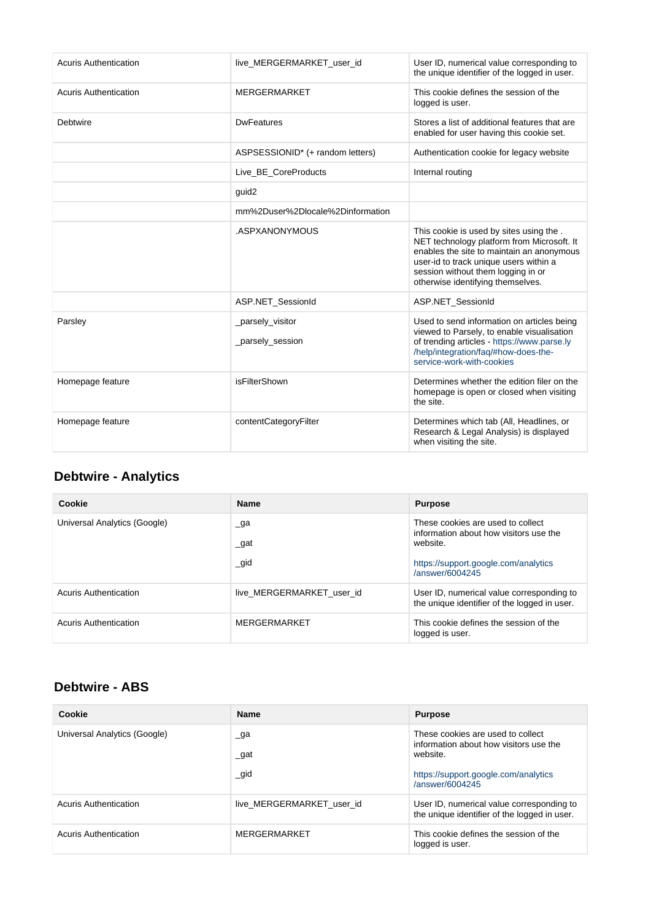| <b>Acuris Authentication</b> | live_MERGERMARKET_user_id            | User ID, numerical value corresponding to<br>the unique identifier of the logged in user.                                                                                                                                                               |
|------------------------------|--------------------------------------|---------------------------------------------------------------------------------------------------------------------------------------------------------------------------------------------------------------------------------------------------------|
| <b>Acuris Authentication</b> | <b>MERGERMARKET</b>                  | This cookie defines the session of the<br>logged is user.                                                                                                                                                                                               |
| Debtwire                     | <b>DwFeatures</b>                    | Stores a list of additional features that are<br>enabled for user having this cookie set.                                                                                                                                                               |
|                              | ASPSESSIONID* (+ random letters)     | Authentication cookie for legacy website                                                                                                                                                                                                                |
|                              | Live BE CoreProducts                 | Internal routing                                                                                                                                                                                                                                        |
|                              | guid2                                |                                                                                                                                                                                                                                                         |
|                              | mm%2Duser%2Dlocale%2Dinformation     |                                                                                                                                                                                                                                                         |
|                              | .ASPXANONYMOUS                       | This cookie is used by sites using the.<br>NET technology platform from Microsoft. It<br>enables the site to maintain an anonymous<br>user-id to track unique users within a<br>session without them logging in or<br>otherwise identifying themselves. |
|                              | ASP.NET_SessionId                    | ASP.NET_SessionId                                                                                                                                                                                                                                       |
| Parsley                      | _parsely_visitor<br>_parsely_session | Used to send information on articles being<br>viewed to Parsely, to enable visualisation<br>of trending articles - https://www.parse.ly<br>/help/integration/faq/#how-does-the-<br>service-work-with-cookies                                            |
| Homepage feature             | isFilterShown                        | Determines whether the edition filer on the<br>homepage is open or closed when visiting<br>the site.                                                                                                                                                    |
| Homepage feature             | contentCategoryFilter                | Determines which tab (All, Headlines, or<br>Research & Legal Analysis) is displayed<br>when visiting the site.                                                                                                                                          |

# **Debtwire - Analytics**

| Cookie                       | <b>Name</b>                      | <b>Purpose</b>                                                                                                                                     |
|------------------------------|----------------------------------|----------------------------------------------------------------------------------------------------------------------------------------------------|
| Universal Analytics (Google) | $\Box$ ga<br>$\_gat$<br>$\_$ gid | These cookies are used to collect<br>information about how visitors use the<br>website.<br>https://support.google.com/analytics<br>/answer/6004245 |
| Acuris Authentication        | live MERGERMARKET user id        | User ID, numerical value corresponding to<br>the unique identifier of the logged in user.                                                          |
| Acuris Authentication        | MERGERMARKET                     | This cookie defines the session of the<br>logged is user.                                                                                          |

#### **Debtwire - ABS**

| Cookie                       | <b>Name</b>                     | <b>Purpose</b>                                                                                                                                     |
|------------------------------|---------------------------------|----------------------------------------------------------------------------------------------------------------------------------------------------|
| Universal Analytics (Google) | $\Box$ ga<br>$\_gat$<br>$\_gid$ | These cookies are used to collect<br>information about how visitors use the<br>website.<br>https://support.google.com/analytics<br>/answer/6004245 |
| Acuris Authentication        | live MERGERMARKET user id       | User ID, numerical value corresponding to<br>the unique identifier of the logged in user.                                                          |
| <b>Acuris Authentication</b> | MERGERMARKET                    | This cookie defines the session of the<br>logged is user.                                                                                          |